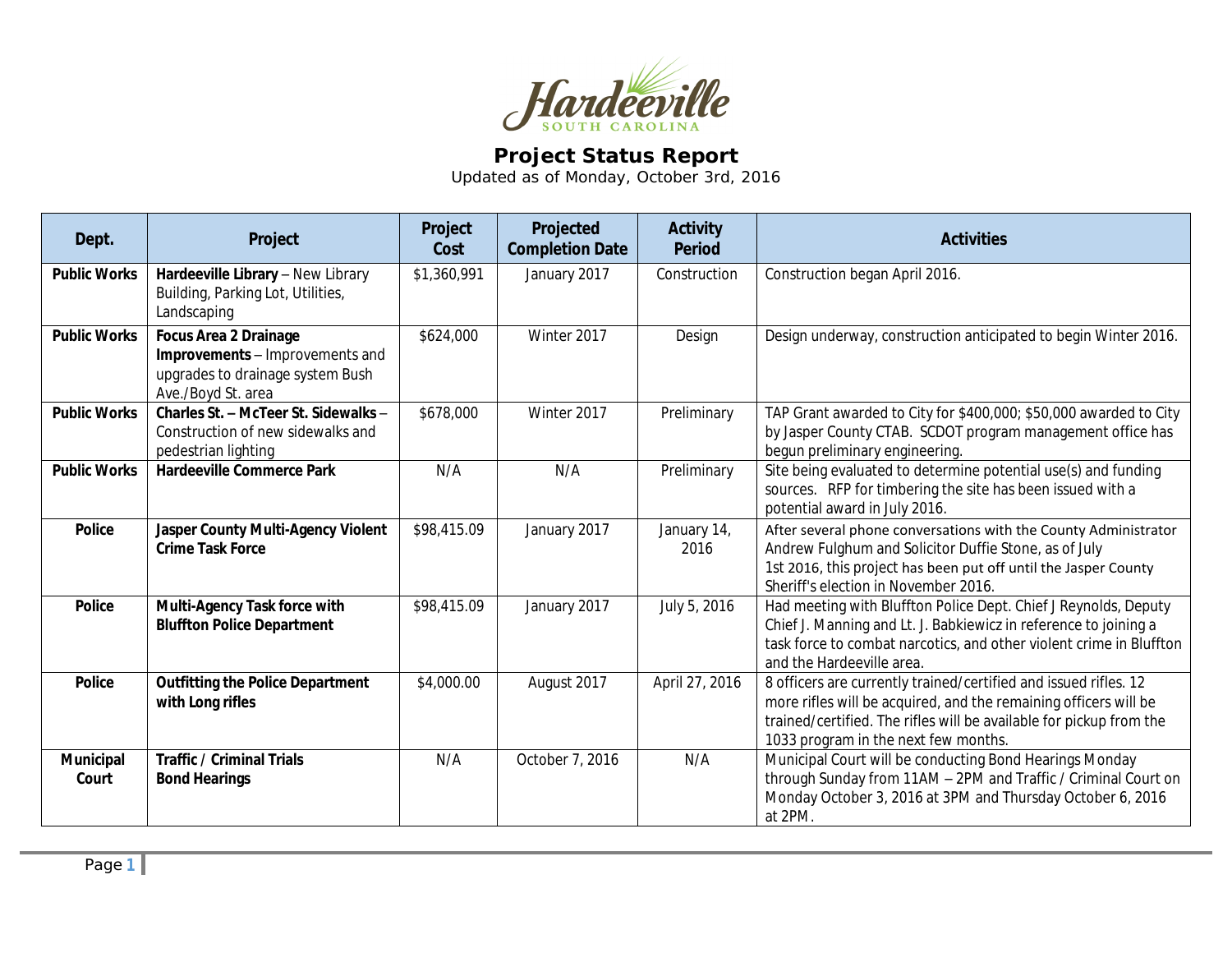

## **Project Status Report**

Updated as of Monday, October 3rd, 2016

| Dept.               | Project                                                                                                                   | Project<br>Cost | Projected<br><b>Completion Date</b> | <b>Activity</b><br><b>Period</b> | <b>Activities</b>                                                                                                                                                                                                                                   |
|---------------------|---------------------------------------------------------------------------------------------------------------------------|-----------------|-------------------------------------|----------------------------------|-----------------------------------------------------------------------------------------------------------------------------------------------------------------------------------------------------------------------------------------------------|
| <b>Public Works</b> | Hardeeville Library - New Library<br>Building, Parking Lot, Utilities,<br>Landscaping                                     | \$1,360,991     | January 2017                        | Construction                     | Construction began April 2016.                                                                                                                                                                                                                      |
| <b>Public Works</b> | <b>Focus Area 2 Drainage</b><br>Improvements - Improvements and<br>upgrades to drainage system Bush<br>Ave./Boyd St. area | \$624,000       | Winter 2017                         | Design                           | Design underway, construction anticipated to begin Winter 2016.                                                                                                                                                                                     |
| <b>Public Works</b> | Charles St. - McTeer St. Sidewalks -<br>Construction of new sidewalks and<br>pedestrian lighting                          | \$678,000       | Winter 2017                         | Preliminary                      | TAP Grant awarded to City for \$400,000; \$50,000 awarded to City<br>by Jasper County CTAB. SCDOT program management office has<br>begun preliminary engineering.                                                                                   |
| <b>Public Works</b> | <b>Hardeeville Commerce Park</b>                                                                                          | N/A             | N/A                                 | Preliminary                      | Site being evaluated to determine potential use(s) and funding<br>sources. RFP for timbering the site has been issued with a<br>potential award in July 2016.                                                                                       |
| <b>Police</b>       | Jasper County Multi-Agency Violent<br><b>Crime Task Force</b>                                                             | \$98,415.09     | January 2017                        | January 14,<br>2016              | After several phone conversations with the County Administrator<br>Andrew Fulghum and Solicitor Duffie Stone, as of July<br>1st 2016, this project has been put off until the Jasper County<br>Sheriff's election in November 2016.                 |
| <b>Police</b>       | Multi-Agency Task force with<br><b>Bluffton Police Department</b>                                                         | \$98,415.09     | January 2017                        | July 5, 2016                     | Had meeting with Bluffton Police Dept. Chief J Reynolds, Deputy<br>Chief J. Manning and Lt. J. Babkiewicz in reference to joining a<br>task force to combat narcotics, and other violent crime in Bluffton<br>and the Hardeeville area.             |
| <b>Police</b>       | <b>Outfitting the Police Department</b><br>with Long rifles                                                               | \$4,000.00      | August 2017                         | April 27, 2016                   | 8 officers are currently trained/certified and issued rifles. 12<br>more rifles will be acquired, and the remaining officers will be<br>trained/certified. The rifles will be available for pickup from the<br>1033 program in the next few months. |
| Municipal<br>Court  | <b>Traffic / Criminal Trials</b><br><b>Bond Hearings</b>                                                                  | N/A             | October 7, 2016                     | N/A                              | Municipal Court will be conducting Bond Hearings Monday<br>through Sunday from 11AM - 2PM and Traffic / Criminal Court on<br>Monday October 3, 2016 at 3PM and Thursday October 6, 2016<br>at 2PM.                                                  |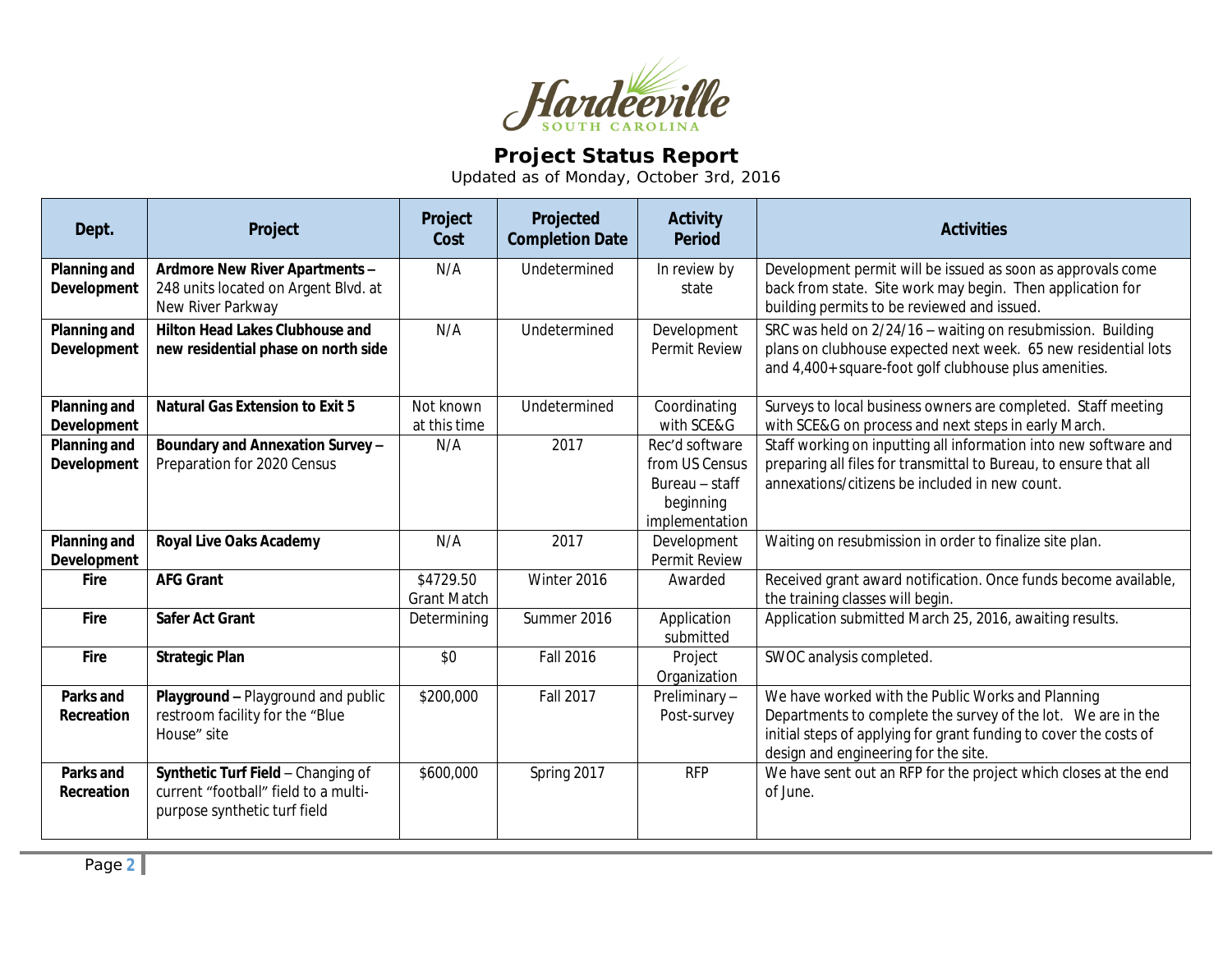

## **Project Status Report**

Updated as of Monday, October 3rd, 2016

| Dept.                              | Project                                                                                                    | Project<br>Cost                 | Projected<br><b>Completion Date</b> | <b>Activity</b><br><b>Period</b>                                                  | <b>Activities</b>                                                                                                                                                                                                              |
|------------------------------------|------------------------------------------------------------------------------------------------------------|---------------------------------|-------------------------------------|-----------------------------------------------------------------------------------|--------------------------------------------------------------------------------------------------------------------------------------------------------------------------------------------------------------------------------|
| Planning and<br>Development        | Ardmore New River Apartments -<br>248 units located on Argent Blvd. at<br>New River Parkway                | N/A                             | Undetermined                        | In review by<br>state                                                             | Development permit will be issued as soon as approvals come<br>back from state. Site work may begin. Then application for<br>building permits to be reviewed and issued.                                                       |
| <b>Planning and</b><br>Development | <b>Hilton Head Lakes Clubhouse and</b><br>new residential phase on north side                              | N/A                             | Undetermined                        | Development<br><b>Permit Review</b>                                               | SRC was held on 2/24/16 - waiting on resubmission. Building<br>plans on clubhouse expected next week. 65 new residential lots<br>and 4,400+ square-foot golf clubhouse plus amenities.                                         |
| Planning and<br>Development        | <b>Natural Gas Extension to Exit 5</b>                                                                     | Not known<br>at this time       | Undetermined                        | Coordinating<br>with SCE&G                                                        | Surveys to local business owners are completed. Staff meeting<br>with SCE&G on process and next steps in early March.                                                                                                          |
| <b>Planning and</b><br>Development | Boundary and Annexation Survey -<br>Preparation for 2020 Census                                            | N/A                             | 2017                                | Rec'd software<br>from US Census<br>Bureau - staff<br>beginning<br>implementation | Staff working on inputting all information into new software and<br>preparing all files for transmittal to Bureau, to ensure that all<br>annexations/citizens be included in new count.                                        |
| Planning and<br><b>Development</b> | <b>Royal Live Oaks Academy</b>                                                                             | N/A                             | 2017                                | Development<br>Permit Review                                                      | Waiting on resubmission in order to finalize site plan.                                                                                                                                                                        |
| <b>Fire</b>                        | <b>AFG Grant</b>                                                                                           | \$4729.50<br><b>Grant Match</b> | Winter 2016                         | Awarded                                                                           | Received grant award notification. Once funds become available,<br>the training classes will begin.                                                                                                                            |
| Fire                               | <b>Safer Act Grant</b>                                                                                     | Determining                     | Summer 2016                         | Application<br>submitted                                                          | Application submitted March 25, 2016, awaiting results.                                                                                                                                                                        |
| <b>Fire</b>                        | <b>Strategic Plan</b>                                                                                      | \$0                             | <b>Fall 2016</b>                    | Project<br>Organization                                                           | SWOC analysis completed.                                                                                                                                                                                                       |
| Parks and<br>Recreation            | Playground - Playground and public<br>restroom facility for the "Blue<br>House" site                       | \$200,000                       | <b>Fall 2017</b>                    | Preliminary-<br>Post-survey                                                       | We have worked with the Public Works and Planning<br>Departments to complete the survey of the lot. We are in the<br>initial steps of applying for grant funding to cover the costs of<br>design and engineering for the site. |
| Parks and<br>Recreation            | Synthetic Turf Field - Changing of<br>current "football" field to a multi-<br>purpose synthetic turf field | \$600,000                       | Spring 2017                         | <b>RFP</b>                                                                        | We have sent out an RFP for the project which closes at the end<br>of June.                                                                                                                                                    |